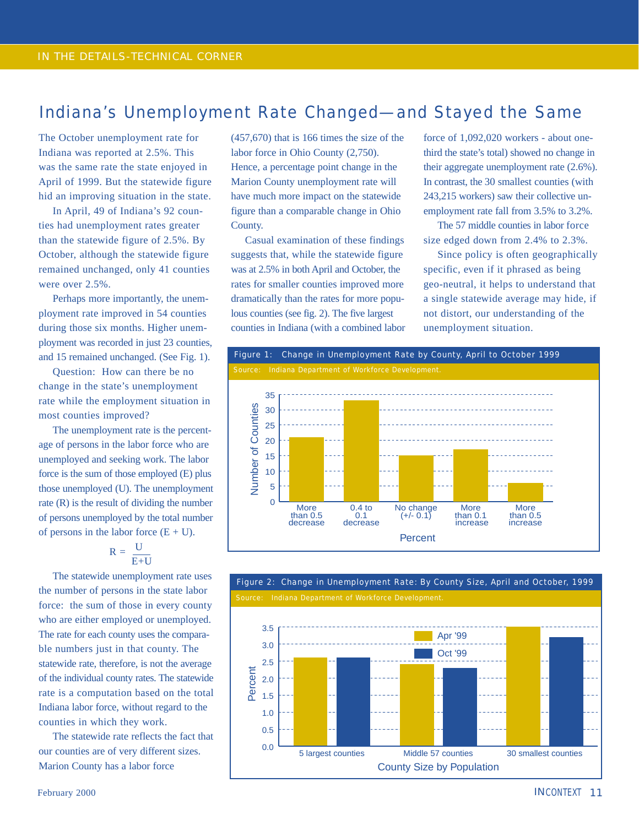### Indiana's Unemployment Rate Changed—and Stayed the Same

The October unemployment rate for Indiana was reported at 2.5%. This was the same rate the state enjoyed in April of 1999. But the statewide figure hid an improving situation in the state.

In April, 49 of Indiana's 92 counties had unemployment rates greater than the statewide figure of 2.5%. By October, although the statewide figure remained unchanged, only 41 counties were over 2.5%.

Perhaps more importantly, the unemployment rate improved in 54 counties during those six months. Higher unemployment was recorded in just 23 counties, and 15 remained unchanged. (See Fig. 1).

Question: How can there be no change in the state's unemployment rate while the employment situation in most counties improved?

The unemployment rate is the percentage of persons in the labor force who are unemployed and seeking work. The labor force is the sum of those employed (E) plus those unemployed (U). The unemployment rate (R) is the result of dividing the number of persons unemployed by the total number of persons in the labor force  $(E + U)$ .

$$
R = \frac{U}{E+U}
$$

The statewide unemployment rate uses the number of persons in the state labor force: the sum of those in every county who are either employed or unemployed. The rate for each county uses the comparable numbers just in that county. The statewide rate, therefore, is not the average of the individual county rates. The statewide rate is a computation based on the total Indiana labor force, without regard to the counties in which they work.

The statewide rate reflects the fact that our counties are of very different sizes. Marion County has a labor force

(457,670) that is 166 times the size of the labor force in Ohio County (2,750). Hence, a percentage point change in the Marion County unemployment rate will have much more impact on the statewide figure than a comparable change in Ohio County.

Casual examination of these findings suggests that, while the statewide figure was at 2.5% in both April and October, the rates for smaller counties improved more dramatically than the rates for more populous counties (see fig. 2). The five largest counties in Indiana (with a combined labor force of 1,092,020 workers - about onethird the state's total) showed no change in their aggregate unemployment rate (2.6%). In contrast, the 30 smallest counties (with 243,215 workers) saw their collective unemployment rate fall from 3.5% to 3.2%.

The 57 middle counties in labor force size edged down from 2.4% to 2.3%.

Since policy is often geographically specific, even if it phrased as being geo-neutral, it helps to understand that a single statewide average may hide, if not distort, our understanding of the unemployment situation.